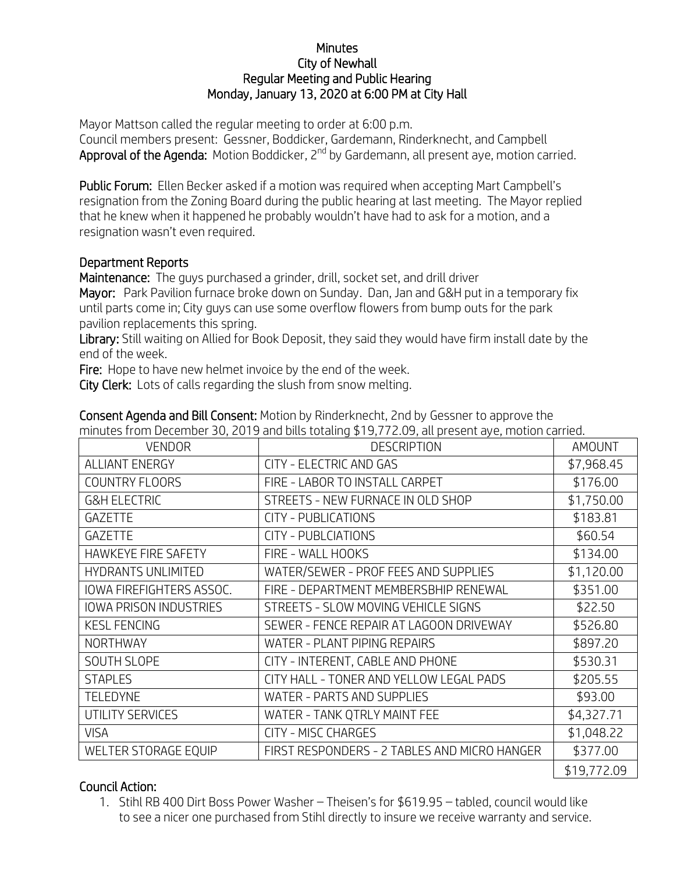## **Minutes** City of Newhall Regular Meeting and Public Hearing Monday, January 13, 2020 at 6:00 PM at City Hall

Mayor Mattson called the regular meeting to order at 6:00 p.m. Council members present: Gessner, Boddicker, Gardemann, Rinderknecht, and Campbell Approval of the Agenda: Motion Boddicker, 2<sup>nd</sup> by Gardemann, all present aye, motion carried.

Public Forum: Ellen Becker asked if a motion was required when accepting Mart Campbell's resignation from the Zoning Board during the public hearing at last meeting. The Mayor replied that he knew when it happened he probably wouldn't have had to ask for a motion, and a resignation wasn't even required.

## Department Reports

Maintenance: The guys purchased a grinder, drill, socket set, and drill driver

Mayor: Park Pavilion furnace broke down on Sunday. Dan, Jan and G&H put in a temporary fix until parts come in; City guys can use some overflow flowers from bump outs for the park pavilion replacements this spring.

Library: Still waiting on Allied for Book Deposit, they said they would have firm install date by the end of the week.

Fire: Hope to have new helmet invoice by the end of the week.

City Clerk: Lots of calls regarding the slush from snow melting.

| minutes in onli December 30, 2013 and olds totaling \$13,772.03, all present aye, motion carned. |                                              |               |
|--------------------------------------------------------------------------------------------------|----------------------------------------------|---------------|
| <b>VENDOR</b>                                                                                    | <b>DESCRIPTION</b>                           | <b>AMOUNT</b> |
| <b>ALLIANT ENERGY</b>                                                                            | CITY - ELECTRIC AND GAS                      | \$7,968.45    |
| <b>COUNTRY FLOORS</b>                                                                            | FIRE - LABOR TO INSTALL CARPET               | \$176.00      |
| <b>G&amp;H ELECTRIC</b>                                                                          | STREETS - NEW FURNACE IN OLD SHOP            | \$1,750.00    |
| <b>GAZETTE</b>                                                                                   | CITY - PUBLICATIONS                          | \$183.81      |
| <b>GAZETTE</b>                                                                                   | CITY - PUBLCIATIONS                          | \$60.54       |
| <b>HAWKEYE FIRE SAFETY</b>                                                                       | FIRE - WALL HOOKS                            | \$134.00      |
| <b>HYDRANTS UNLIMITED</b>                                                                        | WATER/SEWER - PROF FEES AND SUPPLIES         | \$1,120.00    |
| IOWA FIREFIGHTERS ASSOC.                                                                         | FIRE - DEPARTMENT MEMBERSBHIP RENEWAL        | \$351.00      |
| <b>IOWA PRISON INDUSTRIES</b>                                                                    | STREETS - SLOW MOVING VEHICLE SIGNS          | \$22.50       |
| <b>KESL FENCING</b>                                                                              | SEWER - FENCE REPAIR AT LAGOON DRIVEWAY      | \$526.80      |
| <b>NORTHWAY</b>                                                                                  | WATER - PLANT PIPING REPAIRS                 | \$897.20      |
| <b>SOUTH SLOPE</b>                                                                               | CITY - INTERENT, CABLE AND PHONE             | \$530.31      |
| <b>STAPLES</b>                                                                                   | CITY HALL - TONER AND YELLOW LEGAL PADS      | \$205.55      |
| <b>TELEDYNE</b>                                                                                  | WATER - PARTS AND SUPPLIES                   | \$93.00       |
| UTILITY SERVICES                                                                                 | WATER - TANK QTRLY MAINT FEE                 | \$4,327.71    |
| <b>VISA</b>                                                                                      | CITY - MISC CHARGES                          | \$1,048.22    |
| WELTER STORAGE EQUIP                                                                             | FIRST RESPONDERS - 2 TABLES AND MICRO HANGER | \$377.00      |
|                                                                                                  |                                              | \$19,772.09   |

Consent Agenda and Bill Consent: Motion by Rinderknecht, 2nd by Gessner to approve the minutes from December 30, 2019 and bills totaling \$19,772.09, all present aye, motion carried.

## Council Action:

1. Stihl RB 400 Dirt Boss Power Washer – Theisen's for \$619.95 – tabled, council would like to see a nicer one purchased from Stihl directly to insure we receive warranty and service.